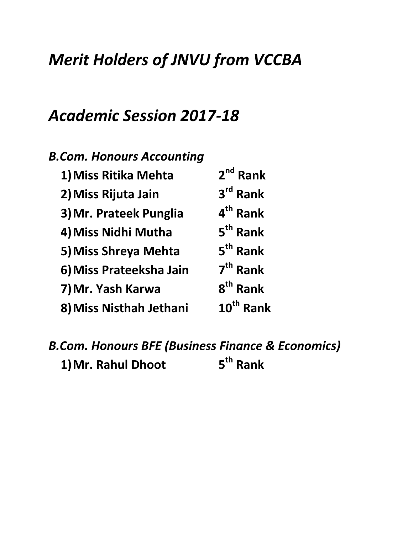## *Merit Holders of JNVU from VCCBA*

## *Academic Session 2017-18*

## *B.Com. Honours Accounting* **1)Miss Ritika Mehta 2 nd Rank 2)Miss Rijuta Jain 3 rd Rank 3)Mr. Prateek Punglia 4 th Rank 4)Miss Nidhi Mutha 5 th Rank 5)Miss Shreya Mehta 5 th Rank 6)Miss Prateeksha Jain 7 th Rank 7)Mr. Yash Karwa 8 th Rank 8)Miss Nisthah Jethani 10th Rank**

## *B.Com. Honours BFE (Business Finance & Economics)* **1)Mr. Rahul Dhoot 5 th Rank**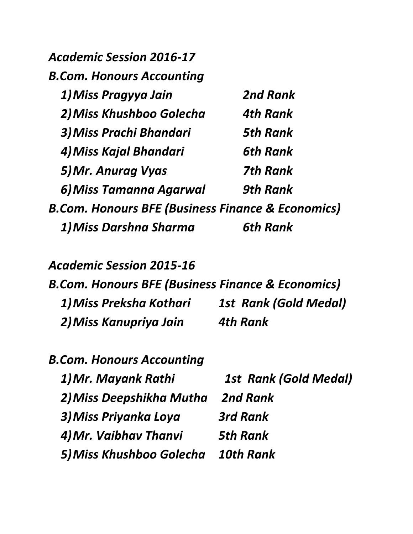| <b>Academic Session 2016-17</b>                              |                 |
|--------------------------------------------------------------|-----------------|
| <b>B.Com. Honours Accounting</b>                             |                 |
| 1) Miss Pragyya Jain                                         | <b>2nd Rank</b> |
| 2) Miss Khushboo Golecha                                     | <b>4th Rank</b> |
| 3) Miss Prachi Bhandari                                      | <b>5th Rank</b> |
| 4) Miss Kajal Bhandari                                       | <b>6th Rank</b> |
| 5) Mr. Anurag Vyas                                           | <b>7th Rank</b> |
| 6) Miss Tamanna Agarwal                                      | <b>9th Rank</b> |
| <b>B.Com. Honours BFE (Business Finance &amp; Economics)</b> |                 |
| 1)Miss Darshna Sharma                                        | 6th Rank        |
|                                                              |                 |

*Academic Session 2015-16*

*B.Com. Honours BFE (Business Finance & Economics) 1)Miss Preksha Kothari 1st Rank (Gold Medal) 2)Miss Kanupriya Jain 4th Rank*

| <b>B.Com. Honours Accounting</b> |                       |
|----------------------------------|-----------------------|
| 1) Mr. Mayank Rathi              | 1st Rank (Gold Medal) |
| 2) Miss Deepshikha Mutha         | <b>2nd Rank</b>       |
| 3) Miss Priyanka Loya            | 3rd Rank              |
| 4) Mr. Vaibhav Thanvi            | <b>5th Rank</b>       |
| 5) Miss Khushboo Golecha         | <b>10th Rank</b>      |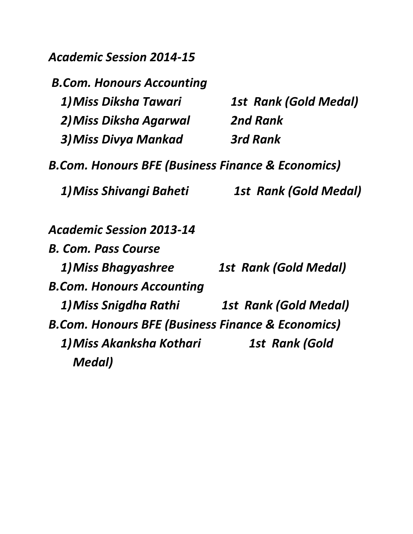*Academic Session 2014-15*

| <b>B.Com. Honours Accounting</b>                             |                       |
|--------------------------------------------------------------|-----------------------|
| 1)Miss Diksha Tawari                                         | 1st Rank (Gold Medal) |
| 2) Miss Diksha Agarwal                                       | <b>2nd Rank</b>       |
| 3) Miss Divya Mankad                                         | <b>3rd Rank</b>       |
| <b>B.Com. Honours BFE (Business Finance &amp; Economics)</b> |                       |
| 1) Miss Shivangi Baheti                                      | 1st Rank (Gold Medal) |
| <b>Academic Session 2013-14</b>                              |                       |
| <b>B. Com. Pass Course</b>                                   |                       |
| 1) Miss Bhagyashree                                          | 1st Rank (Gold Medal) |
| <b>B.Com. Honours Accounting</b>                             |                       |
| 1) Miss Snigdha Rathi                                        | 1st Rank (Gold Medal) |
| <b>B.Com. Honours BFE (Business Finance &amp; Economics)</b> |                       |
| 1)Miss Akanksha Kothari<br>Medal)                            | 1st Rank (Gold        |